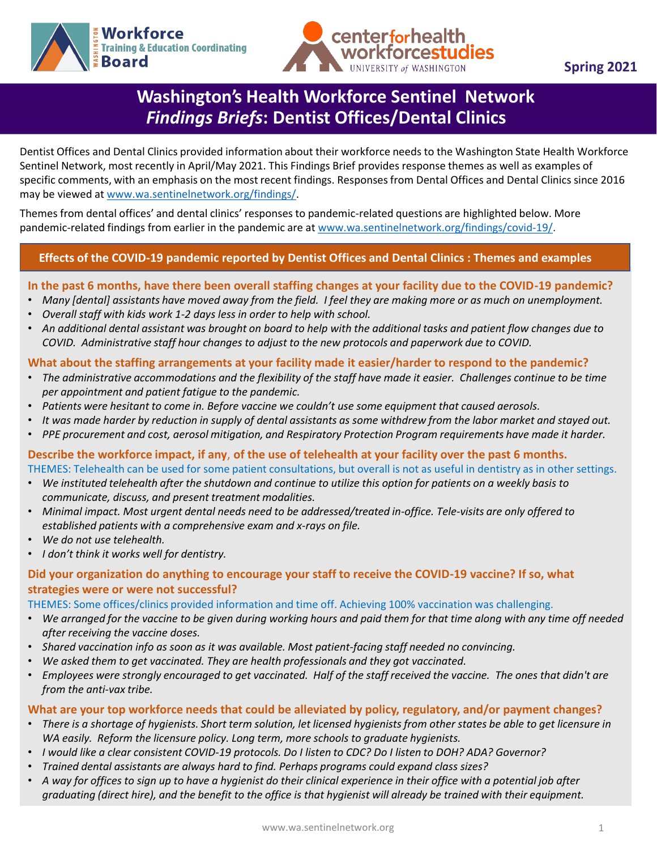



**Spring 2021**

# **Washington's Health Workforce Sentinel Network**  *Findings Briefs***: Dentist Offices/Dental Clinics**

Dentist Offices and Dental Clinics provided information about their workforce needs to the Washington State Health Workforce Sentinel Network, most recently in April/May 2021. This Findings Brief provides response themes as well as examples of specific comments, with an emphasis on the most recent findings. Responses from Dental Offices and Dental Clinics since 2016 may be viewed at [www.wa.sentinelnetwork.org/findings/](http://www.wa.sentinelnetwork.org/findings/).

Themes from dental offices' and dental clinics' responses to pandemic-related questions are highlighted below. More pandemic-related findings from earlier in the pandemic are at [www.wa.sentinelnetwork.org/findings/covid-19/.](https://wa.sentinelnetwork.org/findings/covid-19/)

## **Effects of the COVID-19 pandemic reported by Dentist Offices and Dental Clinics : Themes and examples**

# In the past 6 months, have there been overall staffing changes at your facility due to the COVID-19 pandemic?

- *Many [dental] assistants have moved away from the field. I feel they are making more or as much on unemployment.*
- *Overall staff with kids work 1-2 days less in order to help with school.*
- *An additional dental assistant was brought on board to help with the additional tasks and patient flow changes due to COVID. Administrative staff hour changes to adjust to the new protocols and paperwork due to COVID.*

## **What about the staffing arrangements at your facility made it easier/harder to respond to the pandemic?**

- *The administrative accommodations and the flexibility of the staff have made it easier. Challenges continue to be time per appointment and patient fatigue to the pandemic.*
- *Patients were hesitant to come in. Before vaccine we couldn't use some equipment that caused aerosols.*
- *It was made harder by reduction in supply of dental assistants as some withdrew from the labor market and stayed out.*
- *PPE procurement and cost, aerosol mitigation, and Respiratory Protection Program requirements have made it harder.*

#### **Describe the workforce impact, if any**, **of the use of telehealth at your facility over the past 6 months.** THEMES: Telehealth can be used for some patient consultations, but overall is not as useful in dentistry as in other settings.

- *We instituted telehealth after the shutdown and continue to utilize this option for patients on a weekly basis to communicate, discuss, and present treatment modalities.*
- *Minimal impact. Most urgent dental needs need to be addressed/treated in-office. Tele-visits are only offered to established patients with a comprehensive exam and x-rays on file.*
- *We do not use telehealth.*
- *I don't think it works well for dentistry.*

## **Did your organization do anything to encourage your staff to receive the COVID-19 vaccine? If so, what strategies were or were not successful?**

THEMES: Some offices/clinics provided information and time off. Achieving 100% vaccination was challenging.

- *We arranged for the vaccine to be given during working hours and paid them for that time along with any time off needed after receiving the vaccine doses.*
- *Shared vaccination info as soon as it was available. Most patient-facing staff needed no convincing.*
- *We asked them to get vaccinated. They are health professionals and they got vaccinated.*
- *Employees were strongly encouraged to get vaccinated. Half of the staff received the vaccine. The ones that didn't are from the anti-vax tribe.*

#### **What are your top workforce needs that could be alleviated by policy, regulatory, and/or payment changes?**

- *There is a shortage of hygienists. Short term solution, let licensed hygienists from other states be able to get licensure in WA easily. Reform the licensure policy. Long term, more schools to graduate hygienists.*
- *I would like a clear consistent COVID-19 protocols. Do I listen to CDC? Do I listen to DOH? ADA? Governor?*
- *Trained dental assistants are always hard to find. Perhaps programs could expand class sizes?*
- *A way for offices to sign up to have a hygienist do their clinical experience in their office with a potential job after graduating (direct hire), and the benefit to the office is that hygienist will already be trained with their equipment.*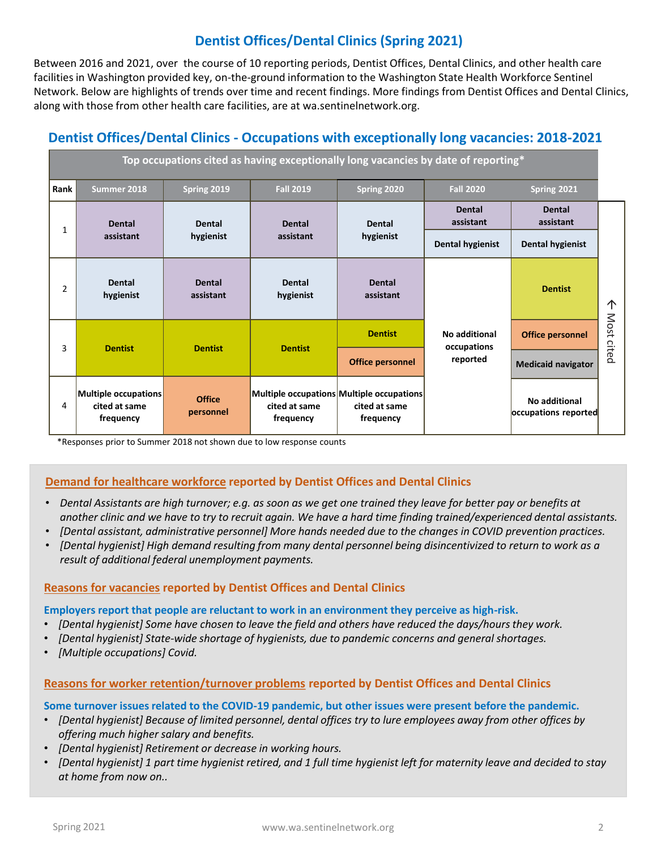# **Dentist Offices/Dental Clinics (Spring 2021)**

Between 2016 and 2021, over the course of 10 reporting periods, Dentist Offices, Dental Clinics, and other health care facilities in Washington provided key, on-the-ground information to the Washington State Health Workforce Sentinel Network. Below are highlights of trends over time and recent findings. More findings from Dentist Offices and Dental Clinics, along with those from other health care facilities, are at wa.sentinelnetwork.org.

## **Dentist Offices/Dental Clinics - Occupations with exceptionally long vacancies: 2018-2021**

| Top occupations cited as having exceptionally long vacancies by date of reporting* |                                                    |                            |                            |                                                                         |                                          |                                       |       |
|------------------------------------------------------------------------------------|----------------------------------------------------|----------------------------|----------------------------|-------------------------------------------------------------------------|------------------------------------------|---------------------------------------|-------|
| Rank                                                                               | Summer 2018                                        | Spring 2019                | <b>Fall 2019</b>           | Spring 2020                                                             | <b>Fall 2020</b>                         | Spring 2021                           |       |
| 1                                                                                  | <b>Dental</b><br>assistant                         | <b>Dental</b><br>hygienist | <b>Dental</b><br>assistant | <b>Dental</b><br>hygienist                                              | <b>Dental</b><br>assistant               | <b>Dental</b><br>assistant            |       |
|                                                                                    |                                                    |                            |                            |                                                                         | <b>Dental hygienist</b>                  | <b>Dental hygienist</b>               |       |
| $\overline{2}$                                                                     | Dental<br>hygienist                                | <b>Dental</b><br>assistant | Dental<br>hygienist        | <b>Dental</b><br>assistant                                              | No additional<br>occupations<br>reported | <b>Dentist</b>                        | 个     |
| 3                                                                                  | <b>Dentist</b>                                     | <b>Dentist</b>             | <b>Dentist</b>             | <b>Dentist</b>                                                          |                                          | <b>Office personnel</b>               | Most  |
|                                                                                    |                                                    |                            |                            | <b>Office personnel</b>                                                 |                                          | <b>Medicaid navigator</b>             | cited |
| 4                                                                                  | Multiple occupations<br>cited at same<br>frequency | Office<br>personnel        | cited at same<br>frequency | Multiple occupations Multiple occupations<br>cited at same<br>frequency |                                          | No additional<br>occupations reported |       |

\*Responses prior to Summer 2018 not shown due to low response counts

#### **Demand for healthcare workforce reported by Dentist Offices and Dental Clinics**

- *Dental Assistants are high turnover; e.g. as soon as we get one trained they leave for better pay or benefits at another clinic and we have to try to recruit again. We have a hard time finding trained/experienced dental assistants.*
- *[Dental assistant, administrative personnel] More hands needed due to the changes in COVID prevention practices.*
- *[Dental hygienist] High demand resulting from many dental personnel being disincentivized to return to work as a result of additional federal unemployment payments.*

#### **Reasons for vacancies reported by Dentist Offices and Dental Clinics**

#### **Employers report that people are reluctant to work in an environment they perceive as high-risk.**

- *[Dental hygienist] Some have chosen to leave the field and others have reduced the days/hours they work.*
- *[Dental hygienist] State-wide shortage of hygienists, due to pandemic concerns and general shortages.*
- *[Multiple occupations] Covid.*

#### **Reasons for worker retention/turnover problems reported by Dentist Offices and Dental Clinics**

#### **Some turnover issues related to the COVID-19 pandemic, but other issues were present before the pandemic.**

- *[Dental hygienist] Because of limited personnel, dental offices try to lure employees away from other offices by offering much higher salary and benefits.*
- *[Dental hygienist] Retirement or decrease in working hours.*
- *[Dental hygienist] 1 part time hygienist retired, and 1 full time hygienist left for maternity leave and decided to stay at home from now on..*